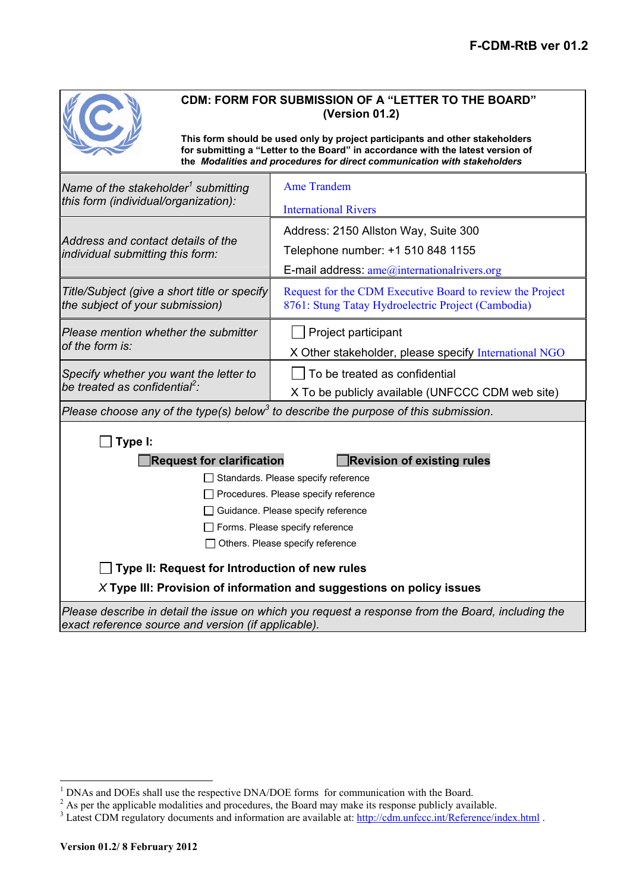

# **CDM: FORM FOR SUBMISSION OF A "LETTER TO THE BOARD" (Version 01.2)**

**This form should be used only by project participants and other stakeholders for submitting a "Letter to the Board" in accordance with the latest version of the** *Modalities and procedures for direct communication with stakeholders*

| Name of the stakeholder <sup>1</sup> submitting                                                 | <b>Ame Trandem</b>                                                                                              |  |
|-------------------------------------------------------------------------------------------------|-----------------------------------------------------------------------------------------------------------------|--|
| this form (individual/organization):                                                            | <b>International Rivers</b>                                                                                     |  |
| Address and contact details of the<br>individual submitting this form:                          | Address: 2150 Allston Way, Suite 300                                                                            |  |
|                                                                                                 | Telephone number: +1 510 848 1155                                                                               |  |
|                                                                                                 | E-mail address: $ame@intematical rivers.org$                                                                    |  |
| Title/Subject (give a short title or specify<br>the subject of your submission)                 | Request for the CDM Executive Board to review the Project<br>8761: Stung Tatay Hydroelectric Project (Cambodia) |  |
| Please mention whether the submitter<br>of the form is:                                         | Project participant                                                                                             |  |
|                                                                                                 | X Other stakeholder, please specify International NGO                                                           |  |
| Specify whether you want the letter to<br>be treated as confidential <sup>2</sup> :             | To be treated as confidential                                                                                   |  |
|                                                                                                 | X To be publicly available (UNFCCC CDM web site)                                                                |  |
| Please choose any of the type(s) below <sup>3</sup> to describe the purpose of this submission. |                                                                                                                 |  |
| Type I:                                                                                         |                                                                                                                 |  |
| <b>Request for clarification</b><br><b>Revision of existing rules</b>                           |                                                                                                                 |  |
| Standards. Please specify reference                                                             |                                                                                                                 |  |
|                                                                                                 |                                                                                                                 |  |
|                                                                                                 | Procedures. Please specify reference                                                                            |  |
|                                                                                                 | Guidance. Please specify reference                                                                              |  |
|                                                                                                 | Forms. Please specify reference                                                                                 |  |
|                                                                                                 | Others. Please specify reference                                                                                |  |
| Type II: Request for Introduction of new rules                                                  |                                                                                                                 |  |
|                                                                                                 | $X$ Type III: Provision of information and suggestions on policy issues                                         |  |

<sup>&</sup>lt;sup>1</sup> DNAs and DOEs shall use the respective DNA/DOE forms for communication with the Board.<br> $2^{2}$  As nor the emplieshle modelities and presedures, the Board may make its respect a whilely such

<sup>&</sup>lt;sup>2</sup> As per the applicable modalities and procedures, the Board may make its response publicly available.  $\frac{3}{2}$  Later CDM requisions degree and information are available at: http://edm.unfeee.int/Before neglia

<sup>&</sup>lt;sup>3</sup> Latest CDM regulatory documents and information are available at: http://cdm.unfccc.int/Reference/index.html .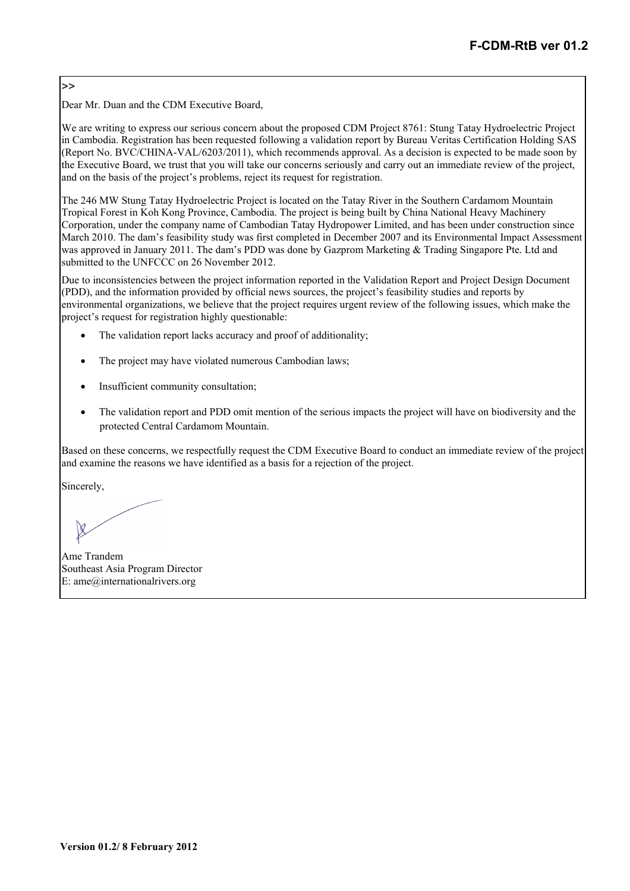## >>

Dear Mr. Duan and the CDM Executive Board,

We are writing to express our serious concern about the proposed CDM Project 8761: Stung Tatay Hydroelectric Project in Cambodia. Registration has been requested following a validation report by Bureau Veritas Certification Holding SAS (Report No. BVC/CHINA-VAL/6203/2011), which recommends approval. As a decision is expected to be made soon by the Executive Board, we trust that you will take our concerns seriously and carry out an immediate review of the project, and on the basis of the project's problems, reject its request for registration.

The 246 MW Stung Tatay Hydroelectric Project is located on the Tatay River in the Southern Cardamom Mountain Tropical Forest in Koh Kong Province, Cambodia. The project is being built by China National Heavy Machinery Corporation, under the company name of Cambodian Tatay Hydropower Limited, and has been under construction since March 2010. The dam's feasibility study was first completed in December 2007 and its Environmental Impact Assessment was approved in January 2011. The dam's PDD was done by Gazprom Marketing & Trading Singapore Pte. Ltd and submitted to the UNFCCC on 26 November 2012.

Due to inconsistencies between the project information reported in the Validation Report and Project Design Document (PDD), and the information provided by official news sources, the project's feasibility studies and reports by environmental organizations, we believe that the project requires urgent review of the following issues, which make the project's request for registration highly questionable:

- The validation report lacks accuracy and proof of additionality;
- The project may have violated numerous Cambodian laws;
- Insufficient community consultation;
- The validation report and PDD omit mention of the serious impacts the project will have on biodiversity and the protected Central Cardamom Mountain.

Based on these concerns, we respectfully request the CDM Executive Board to conduct an immediate review of the project and examine the reasons we have identified as a basis for a rejection of the project.

Sincerely,

Ame Trandem Southeast Asia Program Director E: ame@internationalrivers.org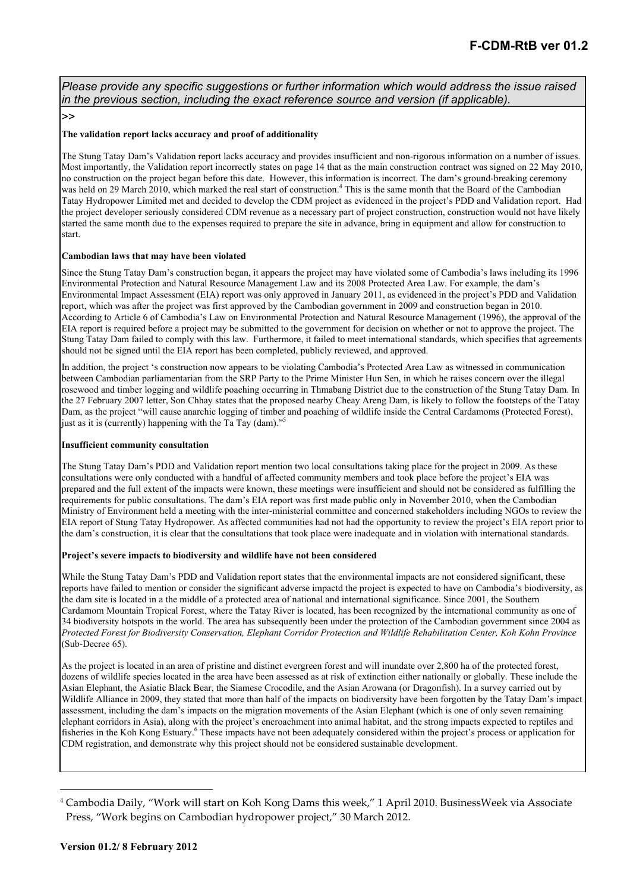*Please provide any specific suggestions or further information which would address the issue raised in the previous section, including the exact reference source and version (if applicable).* 

 $\mathsf{L}\mathsf{L}\mathsf{L}$ 

### **The validation report lacks accuracy and proof of additionality**

The Stung Tatay Dam's Validation report lacks accuracy and provides insufficient and non-rigorous information on a number of issues. Most importantly, the Validation report incorrectly states on page 14 that as the main construction contract was signed on 22 May 2010, no construction on the project began before this date. However, this information is incorrect. The dam's ground-breaking ceremony was held on 29 March 2010, which marked the real start of construction.<sup>4</sup> This is the same month that the Board of the Cambodian Tatay Hydropower Limited met and decided to develop the CDM project as evidenced in the project's PDD and Validation report. Had the project developer seriously considered CDM revenue as a necessary part of project construction, construction would not have likely started the same month due to the expenses required to prepare the site in advance, bring in equipment and allow for construction to start.

## **Cambodian laws that may have been violated**

Since the Stung Tatay Dam's construction began, it appears the project may have violated some of Cambodia's laws including its 1996 Environmental Protection and Natural Resource Management Law and its 2008 Protected Area Law. For example, the dam's Environmental Impact Assessment (EIA) report was only approved in January 2011, as evidenced in the project's PDD and Validation report, which was after the project was first approved by the Cambodian government in 2009 and construction began in 2010. According to Article 6 of Cambodia's Law on Environmental Protection and Natural Resource Management (1996), the approval of the EIA report is required before a project may be submitted to the government for decision on whether or not to approve the project. The Stung Tatay Dam failed to comply with this law. Furthermore, it failed to meet international standards, which specifies that agreements should not be signed until the EIA report has been completed, publicly reviewed, and approved.

In addition, the project 's construction now appears to be violating Cambodia's Protected Area Law as witnessed in communication between Cambodian parliamentarian from the SRP Party to the Prime Minister Hun Sen, in which he raises concern over the illegal rosewood and timber logging and wildlife poaching occurring in Thmabang District due to the construction of the Stung Tatay Dam. In the 27 February 2007 letter, Son Chhay states that the proposed nearby Cheay Areng Dam, is likely to follow the footsteps of the Tatay Dam, as the project "will cause anarchic logging of timber and poaching of wildlife inside the Central Cardamoms (Protected Forest), just as it is (currently) happening with the Ta Tay (dam)."<sup>5</sup>

#### **Insufficient community consultation**

The Stung Tatay Dam's PDD and Validation report mention two local consultations taking place for the project in 2009. As these consultations were only conducted with a handful of affected community members and took place before the project's EIA was prepared and the full extent of the impacts were known, these meetings were insufficient and should not be considered as fulfilling the requirements for public consultations. The dam's EIA report was first made public only in November 2010, when the Cambodian Ministry of Environment held a meeting with the inter-ministerial committee and concerned stakeholders including NGOs to review the EIA report of Stung Tatay Hydropower. As affected communities had not had the opportunity to review the project's EIA report prior to the dam's construction, it is clear that the consultations that took place were inadequate and in violation with international standards.

#### **Project's severe impacts to biodiversity and wildlife have not been considered**

While the Stung Tatay Dam's PDD and Validation report states that the environmental impacts are not considered significant, these reports have failed to mention or consider the significant adverse impactd the project is expected to have on Cambodia's biodiversity, as the dam site is located in a the middle of a protected area of national and international significance. Since 2001, the Southern Cardamom Mountain Tropical Forest, where the Tatay River is located, has been recognized by the international community as one of 34 biodiversity hotspots in the world. The area has subsequently been under the protection of the Cambodian government since 2004 as *Protected Forest for Biodiversity Conservation, Elephant Corridor Protection and Wildlife Rehabilitation Center, Koh Kohn Province* (Sub-Decree 65).

As the project is located in an area of pristine and distinct evergreen forest and will inundate over 2,800 ha of the protected forest, dozens of wildlife species located in the area have been assessed as at risk of extinction either nationally or globally. These include the Asian Elephant, the Asiatic Black Bear, the Siamese Crocodile, and the Asian Arowana (or Dragonfish). In a survey carried out by Wildlife Alliance in 2009, they stated that more than half of the impacts on biodiversity have been forgotten by the Tatay Dam's impact assessment, including the dam's impacts on the migration movements of the Asian Elephant (which is one of only seven remaining elephant corridors in Asia), along with the project's encroachment into animal habitat, and the strong impacts expected to reptiles and fisheries in the Koh Kong Estuary.<sup>6</sup> These impacts have not been adequately considered within the project's process or application for CDM registration, and demonstrate why this project should not be considered sustainable development.

 $\overline{\phantom{a}}$ 

<sup>4</sup> Cambodia Daily, "Work will start on Koh Kong Dams this week," 1 April 2010. BusinessWeek via Associate Press, "Work begins on Cambodian hydropower project," 30 March 2012.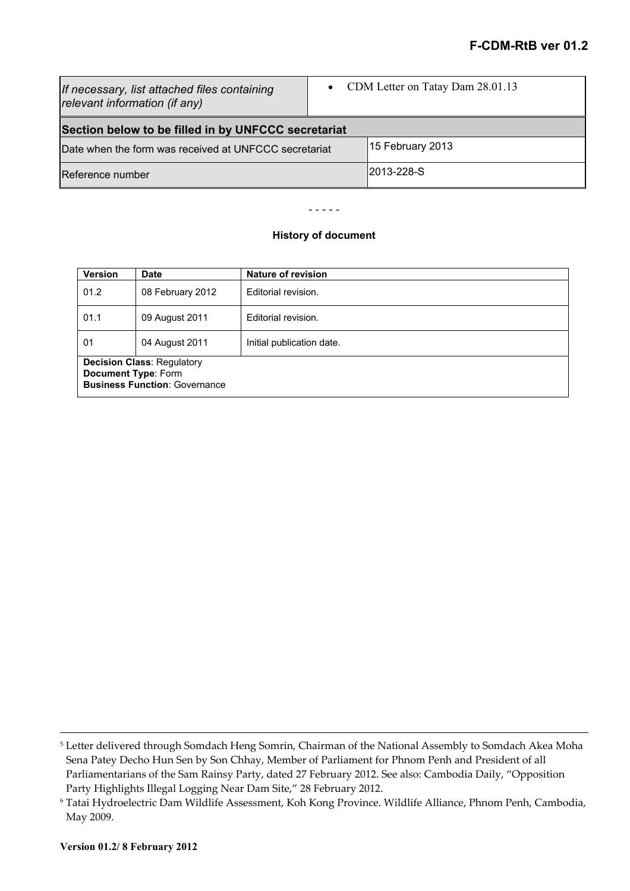| If necessary, list attached files containing<br>relevant information (if any) |  | • CDM Letter on Tatay Dam 28.01.13 |
|-------------------------------------------------------------------------------|--|------------------------------------|
| Section below to be filled in by UNFCCC secretariat                           |  |                                    |
| Date when the form was received at UNFCCC secretariat                         |  | 15 February 2013                   |
| Reference number                                                              |  | 2013-228-S                         |

- - - - -

## **History of document**

| <b>Version</b>                                                                                          | <b>Date</b>      | Nature of revision        |
|---------------------------------------------------------------------------------------------------------|------------------|---------------------------|
| 01.2                                                                                                    | 08 February 2012 | Editorial revision.       |
| 01.1                                                                                                    | 09 August 2011   | Editorial revision.       |
| 01                                                                                                      | 04 August 2011   | Initial publication date. |
| <b>Decision Class: Regulatory</b><br><b>Document Type: Form</b><br><b>Business Function: Governance</b> |                  |                           |

l

<sup>5</sup> Letter delivered through Somdach Heng Somrin, Chairman of the National Assembly to Somdach Akea Moha Sena Patey Decho Hun Sen by Son Chhay, Member of Parliament for Phnom Penh and President of all Parliamentarians of the Sam Rainsy Party, dated 27 February 2012. See also: Cambodia Daily, "Opposition Party Highlights Illegal Logging Near Dam Site," 28 February 2012.

<sup>6</sup> Tatai Hydroelectric Dam Wildlife Assessment, Koh Kong Province. Wildlife Alliance, Phnom Penh, Cambodia, May 2009.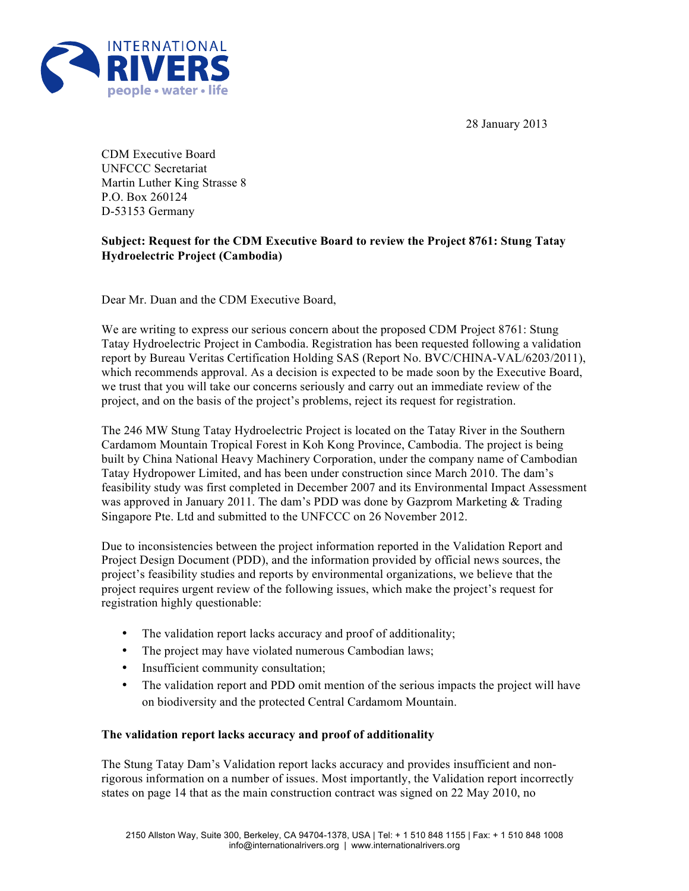28 January 2013



CDM Executive Board UNFCCC Secretariat Martin Luther King Strasse 8 P.O. Box 260124 D-53153 Germany

## **Subject: Request for the CDM Executive Board to review the Project 8761: Stung Tatay Hydroelectric Project (Cambodia)**

Dear Mr. Duan and the CDM Executive Board,

We are writing to express our serious concern about the proposed CDM Project 8761: Stung Tatay Hydroelectric Project in Cambodia. Registration has been requested following a validation report by Bureau Veritas Certification Holding SAS (Report No. BVC/CHINA-VAL/6203/2011), which recommends approval. As a decision is expected to be made soon by the Executive Board, we trust that you will take our concerns seriously and carry out an immediate review of the project, and on the basis of the project's problems, reject its request for registration.

The 246 MW Stung Tatay Hydroelectric Project is located on the Tatay River in the Southern Cardamom Mountain Tropical Forest in Koh Kong Province, Cambodia. The project is being built by China National Heavy Machinery Corporation, under the company name of Cambodian Tatay Hydropower Limited, and has been under construction since March 2010. The dam's feasibility study was first completed in December 2007 and its Environmental Impact Assessment was approved in January 2011. The dam's PDD was done by Gazprom Marketing & Trading Singapore Pte. Ltd and submitted to the UNFCCC on 26 November 2012.

Due to inconsistencies between the project information reported in the Validation Report and Project Design Document (PDD), and the information provided by official news sources, the project's feasibility studies and reports by environmental organizations, we believe that the project requires urgent review of the following issues, which make the project's request for registration highly questionable:

- The validation report lacks accuracy and proof of additionality;
- The project may have violated numerous Cambodian laws;
- Insufficient community consultation;
- The validation report and PDD omit mention of the serious impacts the project will have on biodiversity and the protected Central Cardamom Mountain.

## **The validation report lacks accuracy and proof of additionality**

The Stung Tatay Dam's Validation report lacks accuracy and provides insufficient and nonrigorous information on a number of issues. Most importantly, the Validation report incorrectly states on page 14 that as the main construction contract was signed on 22 May 2010, no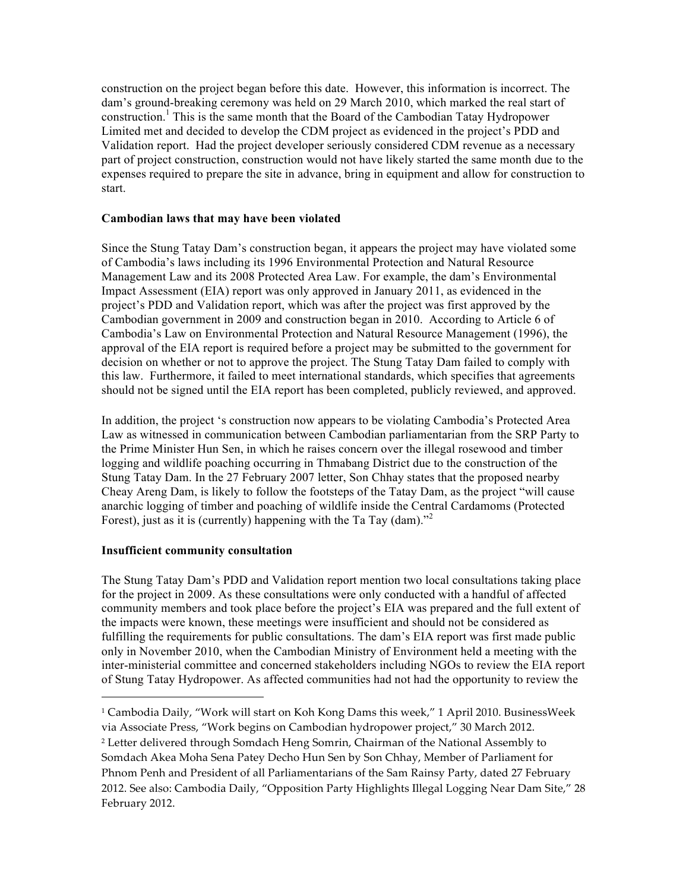construction on the project began before this date. However, this information is incorrect. The dam's ground-breaking ceremony was held on 29 March 2010, which marked the real start of construction.<sup>1</sup> This is the same month that the Board of the Cambodian Tatay Hydropower Limited met and decided to develop the CDM project as evidenced in the project's PDD and Validation report. Had the project developer seriously considered CDM revenue as a necessary part of project construction, construction would not have likely started the same month due to the expenses required to prepare the site in advance, bring in equipment and allow for construction to start.

## **Cambodian laws that may have been violated**

Since the Stung Tatay Dam's construction began, it appears the project may have violated some of Cambodia's laws including its 1996 Environmental Protection and Natural Resource Management Law and its 2008 Protected Area Law. For example, the dam's Environmental Impact Assessment (EIA) report was only approved in January 2011, as evidenced in the project's PDD and Validation report, which was after the project was first approved by the Cambodian government in 2009 and construction began in 2010. According to Article 6 of Cambodia's Law on Environmental Protection and Natural Resource Management (1996), the approval of the EIA report is required before a project may be submitted to the government for decision on whether or not to approve the project. The Stung Tatay Dam failed to comply with this law. Furthermore, it failed to meet international standards, which specifies that agreements should not be signed until the EIA report has been completed, publicly reviewed, and approved.

In addition, the project 's construction now appears to be violating Cambodia's Protected Area Law as witnessed in communication between Cambodian parliamentarian from the SRP Party to the Prime Minister Hun Sen, in which he raises concern over the illegal rosewood and timber logging and wildlife poaching occurring in Thmabang District due to the construction of the Stung Tatay Dam. In the 27 February 2007 letter, Son Chhay states that the proposed nearby Cheay Areng Dam, is likely to follow the footsteps of the Tatay Dam, as the project "will cause anarchic logging of timber and poaching of wildlife inside the Central Cardamoms (Protected Forest), just as it is (currently) happening with the Ta Tay (dam). $^{32}$ 

## **Insufficient community consultation**

<u>.</u>

The Stung Tatay Dam's PDD and Validation report mention two local consultations taking place for the project in 2009. As these consultations were only conducted with a handful of affected community members and took place before the project's EIA was prepared and the full extent of the impacts were known, these meetings were insufficient and should not be considered as fulfilling the requirements for public consultations. The dam's EIA report was first made public only in November 2010, when the Cambodian Ministry of Environment held a meeting with the inter-ministerial committee and concerned stakeholders including NGOs to review the EIA report of Stung Tatay Hydropower. As affected communities had not had the opportunity to review the

<sup>&</sup>lt;sup>1</sup> Cambodia Daily, "Work will start on Koh Kong Dams this week," 1 April 2010. BusinessWeek via Associate Press, "Work begins on Cambodian hydropower project," 30 March 2012. <sup>2</sup> Letter delivered through Somdach Heng Somrin, Chairman of the National Assembly to Somdach Akea Moha Sena Patey Decho Hun Sen by Son Chhay, Member of Parliament for Phnom Penh and President of all Parliamentarians of the Sam Rainsy Party, dated 27 February 2012. See also: Cambodia Daily, "Opposition Party Highlights Illegal Logging Near Dam Site," 28" February 2012.